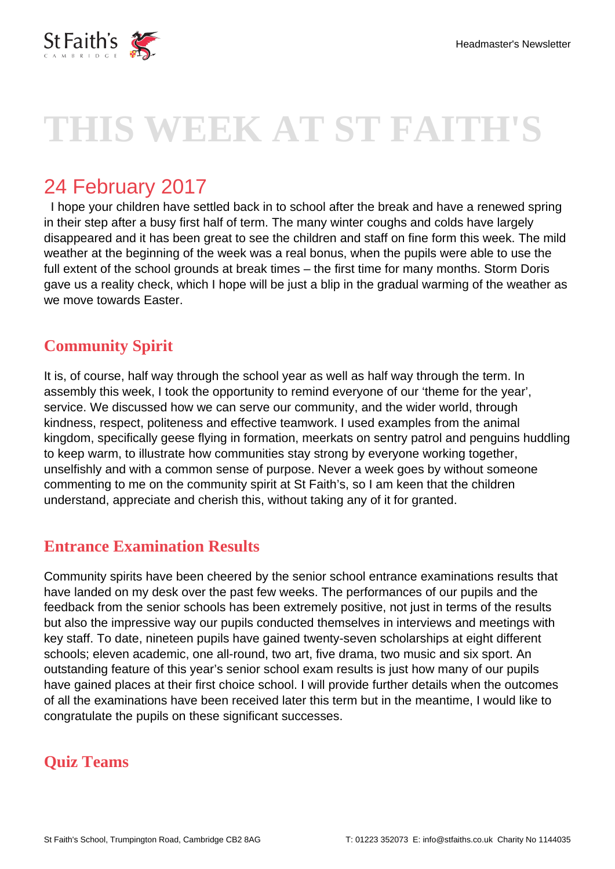

# **THIS WEEK AT ST FAITH'S**

# 24 February 2017

 I hope your children have settled back in to school after the break and have a renewed spring in their step after a busy first half of term. The many winter coughs and colds have largely disappeared and it has been great to see the children and staff on fine form this week. The mild weather at the beginning of the week was a real bonus, when the pupils were able to use the full extent of the school grounds at break times – the first time for many months. Storm Doris gave us a reality check, which I hope will be just a blip in the gradual warming of the weather as we move towards Easter.

# **Community Spirit**

It is, of course, half way through the school year as well as half way through the term. In assembly this week, I took the opportunity to remind everyone of our 'theme for the year', service. We discussed how we can serve our community, and the wider world, through kindness, respect, politeness and effective teamwork. I used examples from the animal kingdom, specifically geese flying in formation, meerkats on sentry patrol and penguins huddling to keep warm, to illustrate how communities stay strong by everyone working together, unselfishly and with a common sense of purpose. Never a week goes by without someone commenting to me on the community spirit at St Faith's, so I am keen that the children understand, appreciate and cherish this, without taking any of it for granted.

#### **Entrance Examination Results**

Community spirits have been cheered by the senior school entrance examinations results that have landed on my desk over the past few weeks. The performances of our pupils and the feedback from the senior schools has been extremely positive, not just in terms of the results but also the impressive way our pupils conducted themselves in interviews and meetings with key staff. To date, nineteen pupils have gained twenty-seven scholarships at eight different schools; eleven academic, one all-round, two art, five drama, two music and six sport. An outstanding feature of this year's senior school exam results is just how many of our pupils have gained places at their first choice school. I will provide further details when the outcomes of all the examinations have been received later this term but in the meantime, I would like to congratulate the pupils on these significant successes.

# **Quiz Teams**